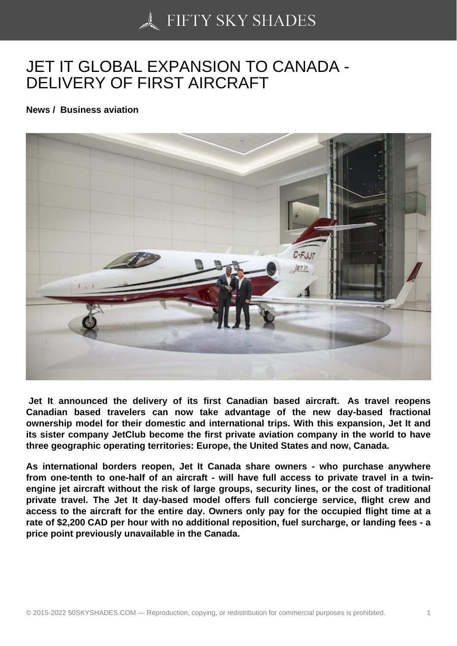## [JET IT GLOBAL EXPA](https://50skyshades.com)NSION TO CANADA - DELIVERY OF FIRST AIRCRAFT

News / Business aviation

 Jet It announced the delivery of its first Canadian based aircraft. As travel reopens Canadian based travelers can now take advantage of the new day-based fractional ownership model for their domestic and international trips. With this expansion, Jet It and its sister company JetClub become the first private aviation company in the world to have three geographic operating territories: Europe, the United States and now, Canada.

As international borders reopen, Jet It Canada share owners - who purchase anywhere from one-tenth to one-half of an aircraft - will have full access to private travel in a twinengine jet aircraft without the risk of large groups, security lines, or the cost of traditional private travel. The Jet It day-based model offers full concierge service, flight crew and access to the aircraft for the entire day. Owners only pay for the occupied flight time at a rate of \$2,200 CAD per hour with no additional reposition, fuel surcharge, or landing fees - a price point previously unavailable in the Canada.